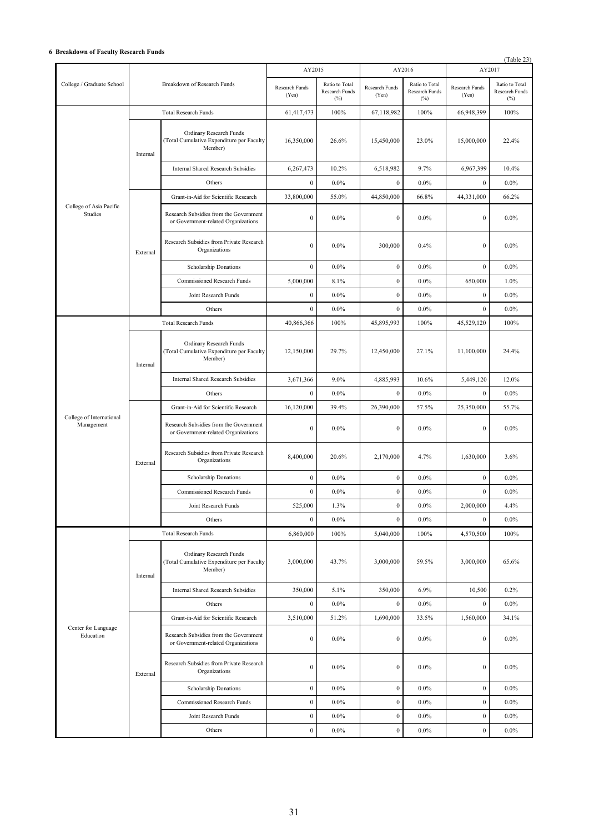## **6 Breakdown of Faculty Research Funds**

|                                        |                             |                                                                                 |                         |                                         |                         |                                                  |                         | (Table 23)                                               |
|----------------------------------------|-----------------------------|---------------------------------------------------------------------------------|-------------------------|-----------------------------------------|-------------------------|--------------------------------------------------|-------------------------|----------------------------------------------------------|
|                                        | Breakdown of Research Funds |                                                                                 | AY2015                  |                                         | AY2016                  |                                                  | AY2017                  |                                                          |
| College / Graduate School              |                             |                                                                                 | Research Funds<br>(Yen) | Ratio to Total<br>Research Funds<br>(%) | Research Funds<br>(Yen) | Ratio to Total<br>Research Funds<br>$(^{0}_{0})$ | Research Funds<br>(Yen) | Ratio to Total<br><b>Research Funds</b><br>$(^{0}/_{0})$ |
|                                        | <b>Total Research Funds</b> |                                                                                 | 61,417,473              | 100%                                    | 67,118,982              | 100%                                             | 66,948,399              | 100%                                                     |
| College of Asia Pacific<br>Studies     | Internal                    | Ordinary Research Funds<br>(Total Cumulative Expenditure per Faculty<br>Member) | 16,350,000              | 26.6%                                   | 15,450,000              | 23.0%                                            | 15,000,000              | 22.4%                                                    |
|                                        |                             | <b>Internal Shared Research Subsidies</b>                                       | 6,267,473               | 10.2%                                   | 6,518,982               | 9.7%                                             | 6,967,399               | 10.4%                                                    |
|                                        |                             | Others                                                                          | $\mathbf{0}$            | $0.0\%$                                 | $\boldsymbol{0}$        | 0.0%                                             | $\boldsymbol{0}$        | $0.0\%$                                                  |
|                                        |                             | Grant-in-Aid for Scientific Research                                            | 33,800,000              | 55.0%                                   | 44,850,000              | 66.8%                                            | 44,331,000              | 66.2%                                                    |
|                                        | External                    | Research Subsidies from the Government<br>or Government-related Organizations   | $\boldsymbol{0}$        | $0.0\%$                                 | $\mathbf{0}$            | $0.0\%$                                          | $\boldsymbol{0}$        | $0.0\%$                                                  |
|                                        |                             | Research Subsidies from Private Research<br>Organizations                       | $\mathbf{0}$            | 0.0%                                    | 300,000                 | 0.4%                                             | $\mathbf{0}$            | $0.0\%$                                                  |
|                                        |                             | Scholarship Donations                                                           | $\boldsymbol{0}$        | $0.0\%$                                 | $\boldsymbol{0}$        | $0.0\%$                                          | $\boldsymbol{0}$        | $0.0\%$                                                  |
|                                        |                             | Commissioned Research Funds                                                     | 5,000,000               | 8.1%                                    | $\boldsymbol{0}$        | $0.0\%$                                          | 650,000                 | 1.0%                                                     |
|                                        |                             | Joint Research Funds                                                            | $\boldsymbol{0}$        | $0.0\%$                                 | $\boldsymbol{0}$        | $0.0\%$                                          | $\boldsymbol{0}$        | $0.0\%$                                                  |
|                                        |                             | Others                                                                          | $\mathbf{0}$            | $0.0\%$                                 | $\mathbf{0}$            | $0.0\%$                                          | $\mathbf{0}$            | $0.0\%$                                                  |
|                                        |                             | <b>Total Research Funds</b>                                                     | 40,866,366              | 100%                                    | 45,895,993              | 100%                                             | 45,529,120              | 100%                                                     |
| College of International<br>Management | Internal<br>External        | Ordinary Research Funds<br>(Total Cumulative Expenditure per Faculty<br>Member) | 12,150,000              | 29.7%                                   | 12,450,000              | 27.1%                                            | 11,100,000              | 24.4%                                                    |
|                                        |                             | <b>Internal Shared Research Subsidies</b>                                       | 3,671,366               | 9.0%                                    | 4,885,993               | 10.6%                                            | 5,449,120               | 12.0%                                                    |
|                                        |                             | Others                                                                          | $\mathbf{0}$            | $0.0\%$                                 | $\mathbf{0}$            | $0.0\%$                                          | $\mathbf{0}$            | $0.0\%$                                                  |
|                                        |                             | Grant-in-Aid for Scientific Research                                            | 16,120,000              | 39.4%                                   | 26,390,000              | 57.5%                                            | 25,350,000              | 55.7%                                                    |
|                                        |                             | Research Subsidies from the Government<br>or Government-related Organizations   | $\boldsymbol{0}$        | 0.0%                                    | $\mathbf{0}$            | 0.0%                                             | $\mathbf{0}$            | $0.0\%$                                                  |
|                                        |                             | Research Subsidies from Private Research<br>Organizations                       | 8,400,000               | 20.6%                                   | 2,170,000               | 4.7%                                             | 1,630,000               | 3.6%                                                     |
|                                        |                             | Scholarship Donations                                                           | $\boldsymbol{0}$        | $0.0\%$                                 | $\boldsymbol{0}$        | $0.0\%$                                          | $\boldsymbol{0}$        | $0.0\%$                                                  |
|                                        |                             | <b>Commissioned Research Funds</b>                                              | $\boldsymbol{0}$        | $0.0\%$                                 | $\boldsymbol{0}$        | $0.0\%$                                          | $\boldsymbol{0}$        | $0.0\%$                                                  |
|                                        |                             | Joint Research Funds                                                            | 525,000                 | 1.3%                                    | $\boldsymbol{0}$        | $0.0\%$                                          | 2,000,000               | 4.4%                                                     |
|                                        |                             | Others                                                                          | $\boldsymbol{0}$        | $0.0\%$                                 | $\boldsymbol{0}$        | $0.0\%$                                          | $\mathbf{0}$            | $0.0\%$                                                  |
| Center for Language<br>Education       |                             | <b>Total Research Funds</b>                                                     | 6,860,000               | 100%                                    | 5,040,000               | 100%                                             | 4,570,500               | 100%                                                     |
|                                        | Internal                    | Ordinary Research Funds<br>(Total Cumulative Expenditure per Faculty<br>Member) | 3,000,000               | 43.7%                                   | 3,000,000               | 59.5%                                            | 3,000,000               | 65.6%                                                    |
|                                        |                             | <b>Internal Shared Research Subsidies</b>                                       | 350,000                 | 5.1%                                    | 350,000                 | 6.9%                                             | 10,500                  | 0.2%                                                     |
|                                        |                             | Others                                                                          | $\boldsymbol{0}$        | $0.0\%$                                 | $\boldsymbol{0}$        | $0.0\%$                                          | $\mathbf{0}$            | $0.0\%$                                                  |
|                                        | External                    | Grant-in-Aid for Scientific Research                                            | 3,510,000               | 51.2%                                   | 1,690,000               | 33.5%                                            | 1,560,000               | 34.1%                                                    |
|                                        |                             | Research Subsidies from the Government<br>or Government-related Organizations   | $\boldsymbol{0}$        | $0.0\%$                                 | $\mathbf{0}$            | $0.0\%$                                          | $\boldsymbol{0}$        | $0.0\%$                                                  |
|                                        |                             | Research Subsidies from Private Research<br>Organizations                       | $\boldsymbol{0}$        | $0.0\%$                                 | $\bf{0}$                | $0.0\%$                                          | $\boldsymbol{0}$        | $0.0\%$                                                  |
|                                        |                             | Scholarship Donations                                                           | $\boldsymbol{0}$        | $0.0\%$                                 | $\boldsymbol{0}$        | $0.0\%$                                          | $\mathbf{0}$            | $0.0\%$                                                  |
|                                        |                             | Commissioned Research Funds                                                     | $\boldsymbol{0}$        | $0.0\%$                                 | $\boldsymbol{0}$        | $0.0\%$                                          | $\boldsymbol{0}$        | $0.0\%$                                                  |
|                                        |                             | Joint Research Funds                                                            | $\boldsymbol{0}$        | $0.0\%$                                 | $\bf{0}$                | $0.0\%$                                          | $\boldsymbol{0}$        | $0.0\%$                                                  |
|                                        |                             | Others                                                                          | $\boldsymbol{0}$        | $0.0\%$                                 | $\mathbf{0}$            | $0.0\%$                                          | $\mathbf{0}$            | $0.0\%$                                                  |